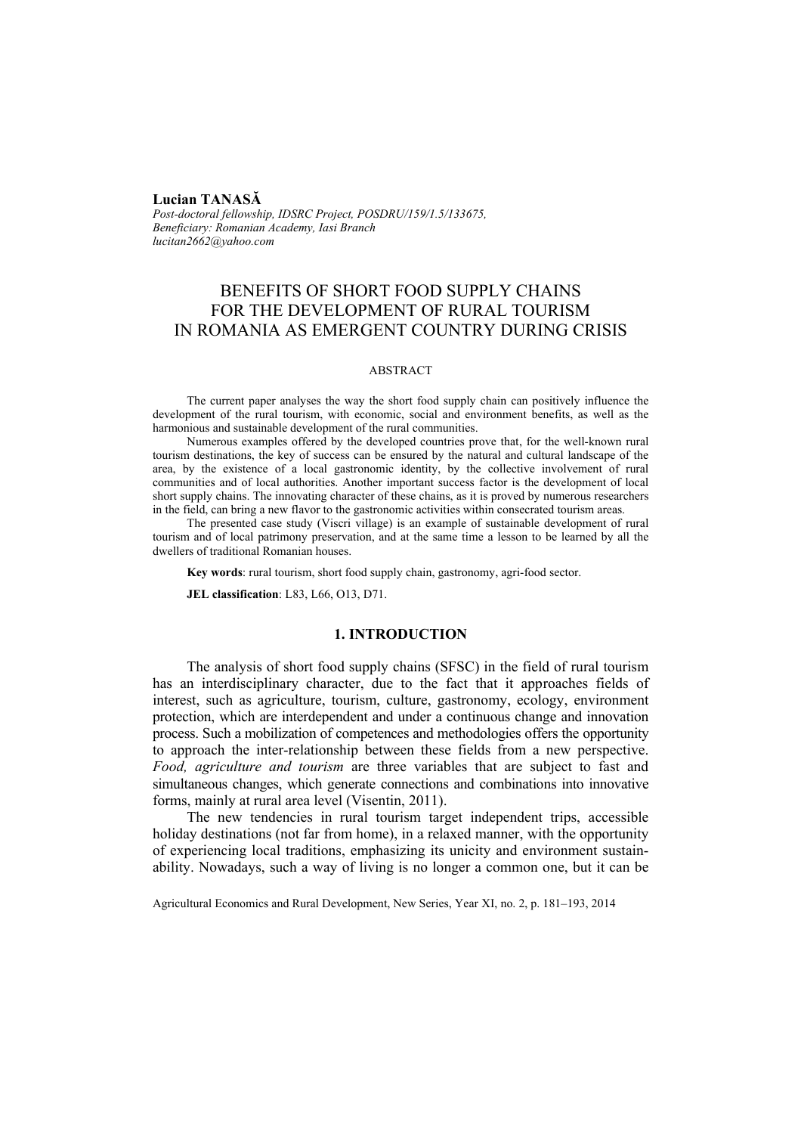## **Lucian TANASĂ**

*Post-doctoral fellowship, IDSRC Project, POSDRU/159/1.5/133675, Beneficiary: Romanian Academy, Iasi Branch lucitan2662@yahoo.com* 

# BENEFITS OF SHORT FOOD SUPPLY CHAINS FOR THE DEVELOPMENT OF RURAL TOURISM IN ROMANIA AS EMERGENT COUNTRY DURING CRISIS

### ABSTRACT

The current paper analyses the way the short food supply chain can positively influence the development of the rural tourism, with economic, social and environment benefits, as well as the harmonious and sustainable development of the rural communities.

Numerous examples offered by the developed countries prove that, for the well-known rural tourism destinations, the key of success can be ensured by the natural and cultural landscape of the area, by the existence of a local gastronomic identity, by the collective involvement of rural communities and of local authorities. Another important success factor is the development of local short supply chains. The innovating character of these chains, as it is proved by numerous researchers in the field, can bring a new flavor to the gastronomic activities within consecrated tourism areas.

The presented case study (Viscri village) is an example of sustainable development of rural tourism and of local patrimony preservation, and at the same time a lesson to be learned by all the dwellers of traditional Romanian houses.

**Key words**: rural tourism, short food supply chain, gastronomy, agri-food sector.

**JEL classification**: L83, L66, O13, D71.

## **1. INTRODUCTION**

The analysis of short food supply chains (SFSC) in the field of rural tourism has an interdisciplinary character, due to the fact that it approaches fields of interest, such as agriculture, tourism, culture, gastronomy, ecology, environment protection, which are interdependent and under a continuous change and innovation process. Such a mobilization of competences and methodologies offers the opportunity to approach the inter-relationship between these fields from a new perspective. *Food, agriculture and tourism* are three variables that are subject to fast and simultaneous changes, which generate connections and combinations into innovative forms, mainly at rural area level (Visentin, 2011).

The new tendencies in rural tourism target independent trips, accessible holiday destinations (not far from home), in a relaxed manner, with the opportunity of experiencing local traditions, emphasizing its unicity and environment sustainability. Nowadays, such a way of living is no longer a common one, but it can be

Agricultural Economics and Rural Development, New Series, Year XI, no. 2, p. 181–193, 2014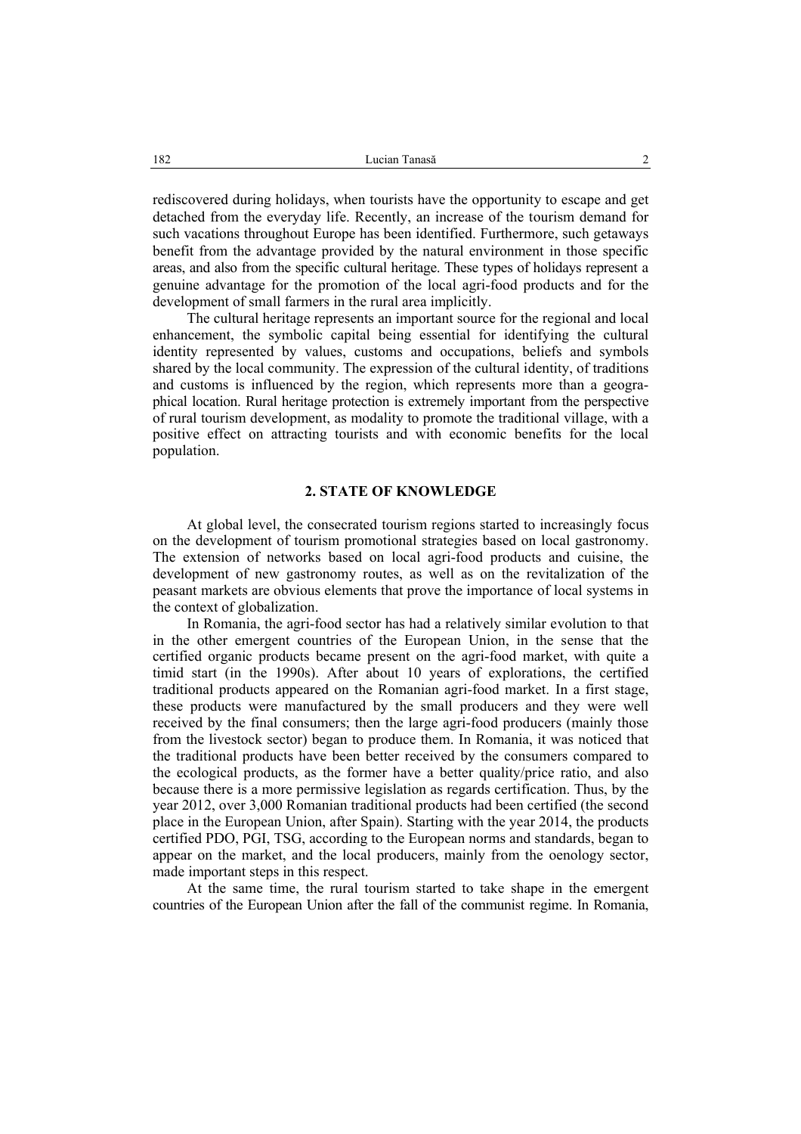rediscovered during holidays, when tourists have the opportunity to escape and get detached from the everyday life. Recently, an increase of the tourism demand for such vacations throughout Europe has been identified. Furthermore, such getaways benefit from the advantage provided by the natural environment in those specific areas, and also from the specific cultural heritage. These types of holidays represent a genuine advantage for the promotion of the local agri-food products and for the development of small farmers in the rural area implicitly.

The cultural heritage represents an important source for the regional and local enhancement, the symbolic capital being essential for identifying the cultural identity represented by values, customs and occupations, beliefs and symbols shared by the local community. The expression of the cultural identity, of traditions and customs is influenced by the region, which represents more than a geographical location. Rural heritage protection is extremely important from the perspective of rural tourism development, as modality to promote the traditional village, with a positive effect on attracting tourists and with economic benefits for the local population.

### **2. STATE OF KNOWLEDGE**

At global level, the consecrated tourism regions started to increasingly focus on the development of tourism promotional strategies based on local gastronomy. The extension of networks based on local agri-food products and cuisine, the development of new gastronomy routes, as well as on the revitalization of the peasant markets are obvious elements that prove the importance of local systems in the context of globalization.

In Romania, the agri-food sector has had a relatively similar evolution to that in the other emergent countries of the European Union, in the sense that the certified organic products became present on the agri-food market, with quite a timid start (in the 1990s). After about 10 years of explorations, the certified traditional products appeared on the Romanian agri-food market. In a first stage, these products were manufactured by the small producers and they were well received by the final consumers; then the large agri-food producers (mainly those from the livestock sector) began to produce them. In Romania, it was noticed that the traditional products have been better received by the consumers compared to the ecological products, as the former have a better quality/price ratio, and also because there is a more permissive legislation as regards certification. Thus, by the year 2012, over 3,000 Romanian traditional products had been certified (the second place in the European Union, after Spain). Starting with the year 2014, the products certified PDO, PGI, TSG, according to the European norms and standards, began to appear on the market, and the local producers, mainly from the oenology sector, made important steps in this respect.

At the same time, the rural tourism started to take shape in the emergent countries of the European Union after the fall of the communist regime. In Romania,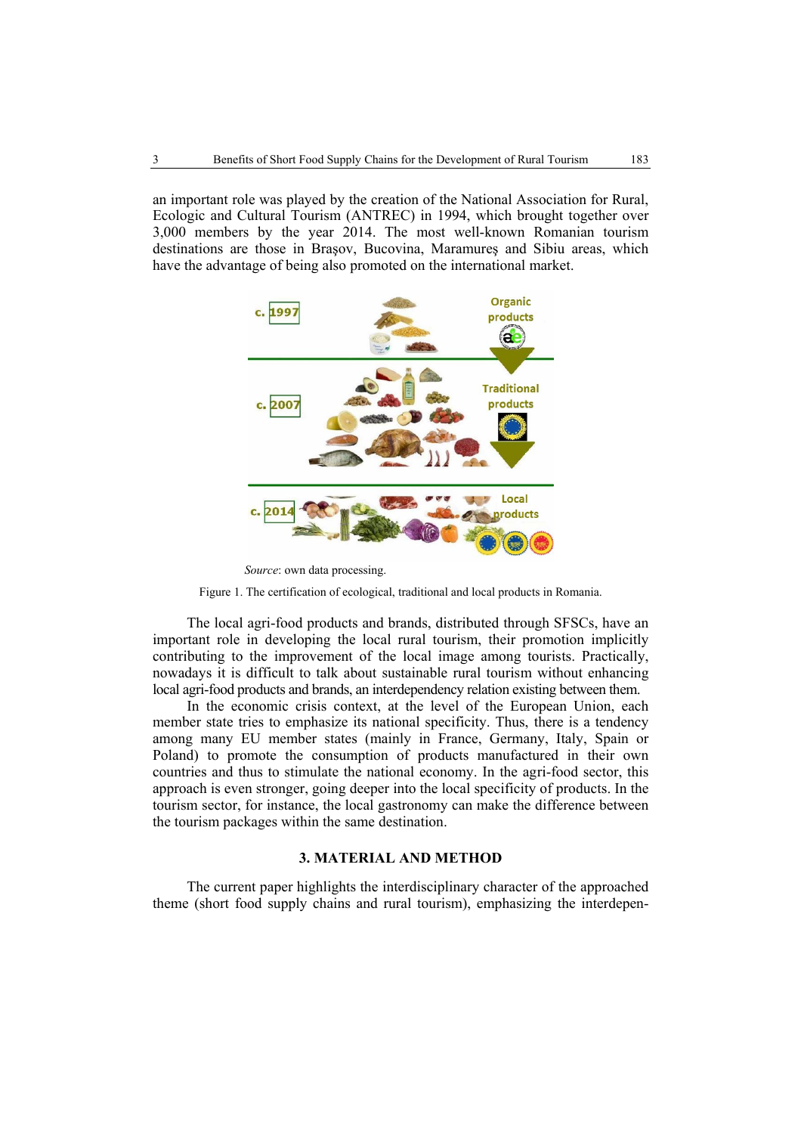an important role was played by the creation of the National Association for Rural, Ecologic and Cultural Tourism (ANTREC) in 1994, which brought together over 3,000 members by the year 2014. The most well-known Romanian tourism destinations are those in Brasov, Bucovina, Maramures and Sibiu areas, which have the advantage of being also promoted on the international market.



*Source*: own data processing.

Figure 1. The certification of ecological, traditional and local products in Romania.

The local agri-food products and brands, distributed through SFSCs, have an important role in developing the local rural tourism, their promotion implicitly contributing to the improvement of the local image among tourists. Practically, nowadays it is difficult to talk about sustainable rural tourism without enhancing local agri-food products and brands, an interdependency relation existing between them.

In the economic crisis context, at the level of the European Union, each member state tries to emphasize its national specificity. Thus, there is a tendency among many EU member states (mainly in France, Germany, Italy, Spain or Poland) to promote the consumption of products manufactured in their own countries and thus to stimulate the national economy. In the agri-food sector, this approach is even stronger, going deeper into the local specificity of products. In the tourism sector, for instance, the local gastronomy can make the difference between the tourism packages within the same destination.

### **3. MATERIAL AND METHOD**

The current paper highlights the interdisciplinary character of the approached theme (short food supply chains and rural tourism), emphasizing the interdepen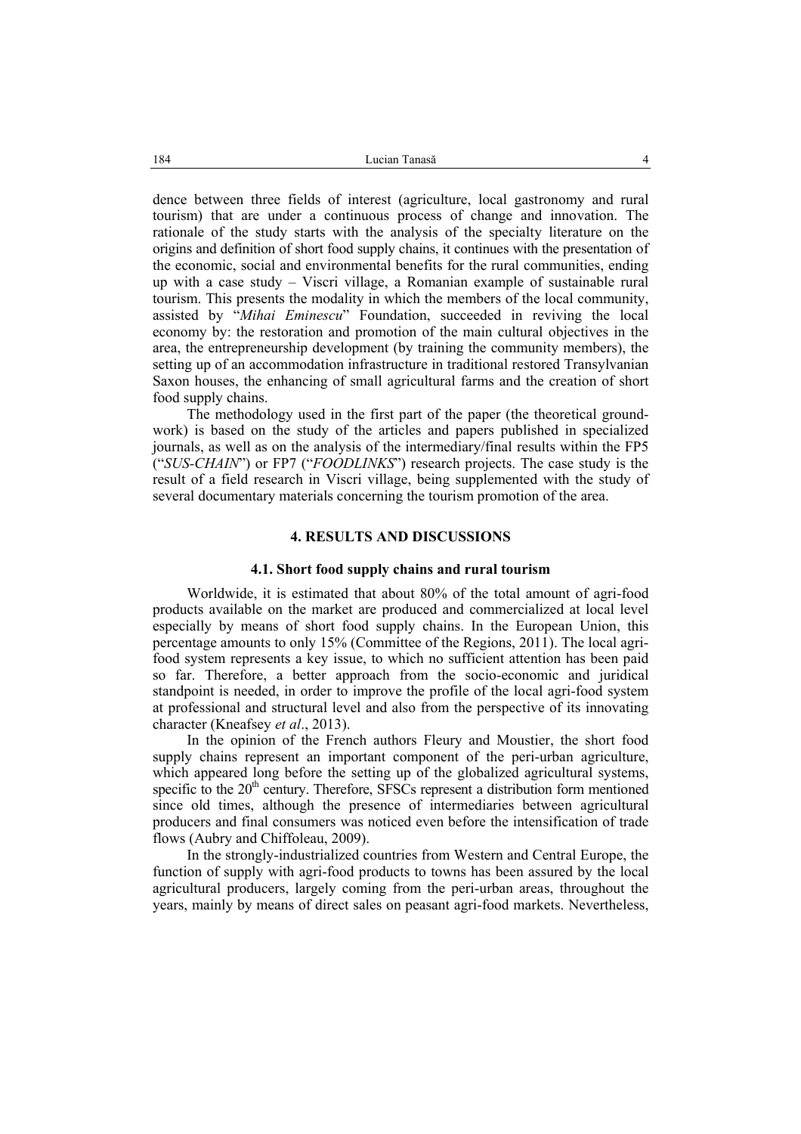dence between three fields of interest (agriculture, local gastronomy and rural tourism) that are under a continuous process of change and innovation. The rationale of the study starts with the analysis of the specialty literature on the origins and definition of short food supply chains, it continues with the presentation of the economic, social and environmental benefits for the rural communities, ending up with a case study – Viscri village, a Romanian example of sustainable rural tourism. This presents the modality in which the members of the local community, assisted by "*Mihai Eminescu*" Foundation, succeeded in reviving the local economy by: the restoration and promotion of the main cultural objectives in the area, the entrepreneurship development (by training the community members), the setting up of an accommodation infrastructure in traditional restored Transylvanian Saxon houses, the enhancing of small agricultural farms and the creation of short food supply chains.

The methodology used in the first part of the paper (the theoretical groundwork) is based on the study of the articles and papers published in specialized journals, as well as on the analysis of the intermediary/final results within the FP5 ("*SUS-CHAIN*") or FP7 ("*FOODLINKS*") research projects. The case study is the result of a field research in Viscri village, being supplemented with the study of several documentary materials concerning the tourism promotion of the area.

#### **4. RESULTS AND DISCUSSIONS**

#### **4.1. Short food supply chains and rural tourism**

Worldwide, it is estimated that about 80% of the total amount of agri-food products available on the market are produced and commercialized at local level especially by means of short food supply chains. In the European Union, this percentage amounts to only 15% (Committee of the Regions, 2011). The local agrifood system represents a key issue, to which no sufficient attention has been paid so far. Therefore, a better approach from the socio-economic and juridical standpoint is needed, in order to improve the profile of the local agri-food system at professional and structural level and also from the perspective of its innovating character (Kneafsey *et al*., 2013).

In the opinion of the French authors Fleury and Moustier, the short food supply chains represent an important component of the peri-urban agriculture, which appeared long before the setting up of the globalized agricultural systems, specific to the  $20<sup>th</sup>$  century. Therefore, SFSCs represent a distribution form mentioned since old times, although the presence of intermediaries between agricultural producers and final consumers was noticed even before the intensification of trade flows (Aubry and Chiffoleau, 2009).

In the strongly-industrialized countries from Western and Central Europe, the function of supply with agri-food products to towns has been assured by the local agricultural producers, largely coming from the peri-urban areas, throughout the years, mainly by means of direct sales on peasant agri-food markets. Nevertheless,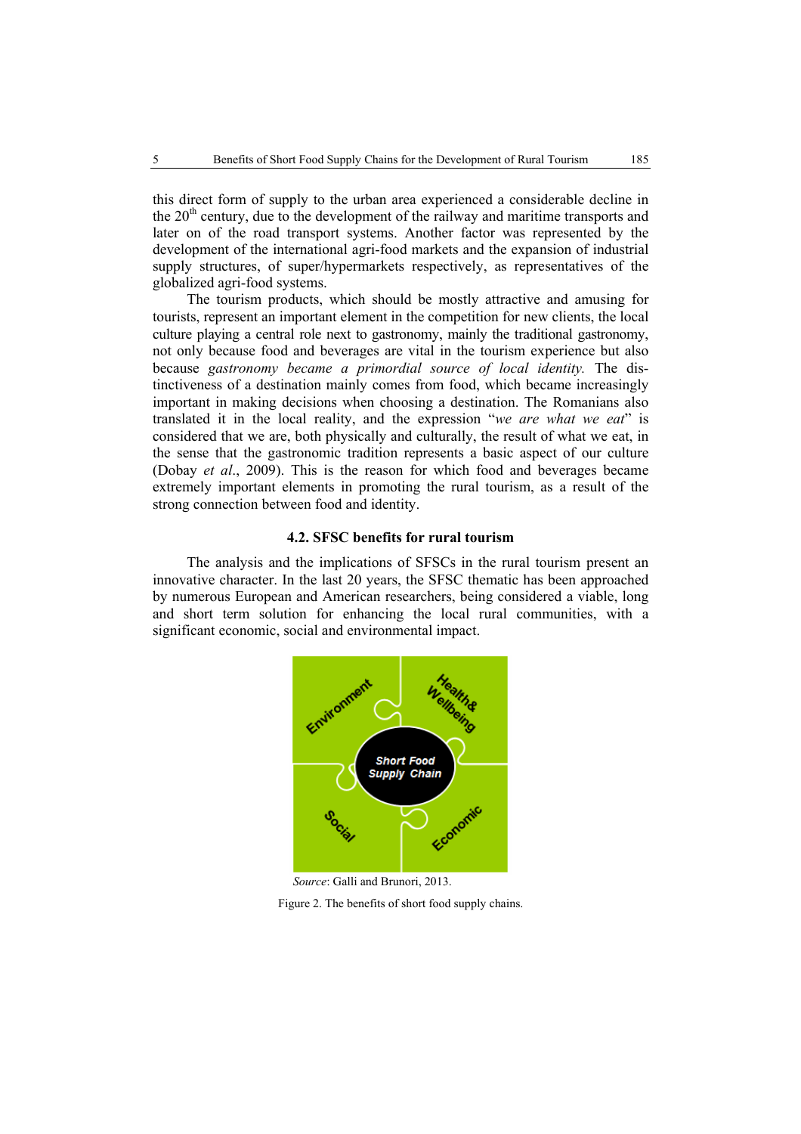this direct form of supply to the urban area experienced a considerable decline in the  $20<sup>th</sup>$  century, due to the development of the railway and maritime transports and later on of the road transport systems. Another factor was represented by the development of the international agri-food markets and the expansion of industrial supply structures, of super/hypermarkets respectively, as representatives of the globalized agri-food systems.

The tourism products, which should be mostly attractive and amusing for tourists, represent an important element in the competition for new clients, the local culture playing a central role next to gastronomy, mainly the traditional gastronomy, not only because food and beverages are vital in the tourism experience but also because *gastronomy became a primordial source of local identity.* The distinctiveness of a destination mainly comes from food, which became increasingly important in making decisions when choosing a destination. The Romanians also translated it in the local reality, and the expression "*we are what we eat*" is considered that we are, both physically and culturally, the result of what we eat, in the sense that the gastronomic tradition represents a basic aspect of our culture (Dobay *et al*., 2009). This is the reason for which food and beverages became extremely important elements in promoting the rural tourism, as a result of the strong connection between food and identity.

## **4.2. SFSC benefits for rural tourism**

The analysis and the implications of SFSCs in the rural tourism present an innovative character. In the last 20 years, the SFSC thematic has been approached by numerous European and American researchers, being considered a viable, long and short term solution for enhancing the local rural communities, with a significant economic, social and environmental impact.



 *Source*: Galli and Brunori, 2013.

Figure 2. The benefits of short food supply chains.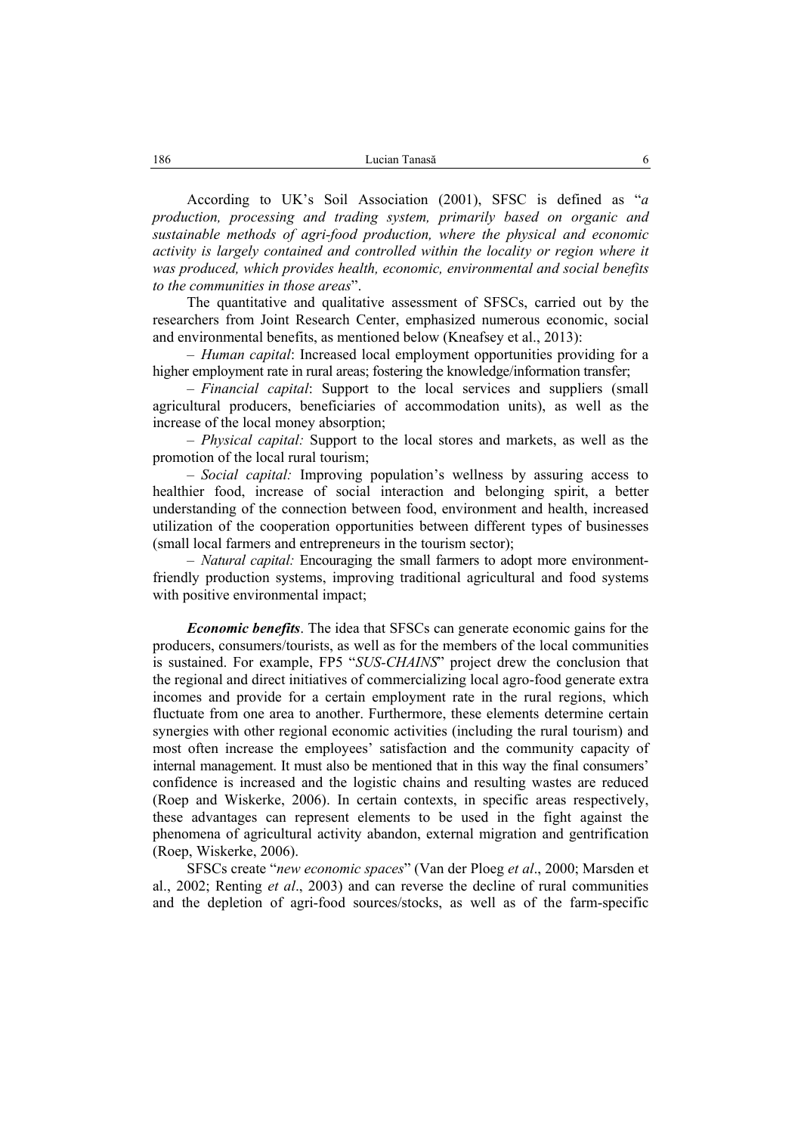According to UK's Soil Association (2001), SFSC is defined as "*a production, processing and trading system, primarily based on organic and sustainable methods of agri-food production, where the physical and economic activity is largely contained and controlled within the locality or region where it was produced, which provides health, economic, environmental and social benefits to the communities in those areas*".

The quantitative and qualitative assessment of SFSCs, carried out by the researchers from Joint Research Center, emphasized numerous economic, social and environmental benefits, as mentioned below (Kneafsey et al., 2013):

– *Human capital*: Increased local employment opportunities providing for a higher employment rate in rural areas; fostering the knowledge/information transfer;

– *Financial capital*: Support to the local services and suppliers (small agricultural producers, beneficiaries of accommodation units), as well as the increase of the local money absorption;

– *Physical capital:* Support to the local stores and markets, as well as the promotion of the local rural tourism;

– *Social capital:* Improving population's wellness by assuring access to healthier food, increase of social interaction and belonging spirit, a better understanding of the connection between food, environment and health, increased utilization of the cooperation opportunities between different types of businesses (small local farmers and entrepreneurs in the tourism sector);

– *Natural capital:* Encouraging the small farmers to adopt more environmentfriendly production systems, improving traditional agricultural and food systems with positive environmental impact;

*Economic benefits*. The idea that SFSCs can generate economic gains for the producers, consumers/tourists, as well as for the members of the local communities is sustained. For example, FP5 "*SUS-CHAINS*" project drew the conclusion that the regional and direct initiatives of commercializing local agro-food generate extra incomes and provide for a certain employment rate in the rural regions, which fluctuate from one area to another. Furthermore, these elements determine certain synergies with other regional economic activities (including the rural tourism) and most often increase the employees' satisfaction and the community capacity of internal management. It must also be mentioned that in this way the final consumers' confidence is increased and the logistic chains and resulting wastes are reduced (Roep and Wiskerke, 2006). In certain contexts, in specific areas respectively, these advantages can represent elements to be used in the fight against the phenomena of agricultural activity abandon, external migration and gentrification (Roep, Wiskerke, 2006).

SFSCs create "*new economic spaces*" (Van der Ploeg *et al*., 2000; Marsden et al., 2002; Renting *et al*., 2003) and can reverse the decline of rural communities and the depletion of agri-food sources/stocks, as well as of the farm-specific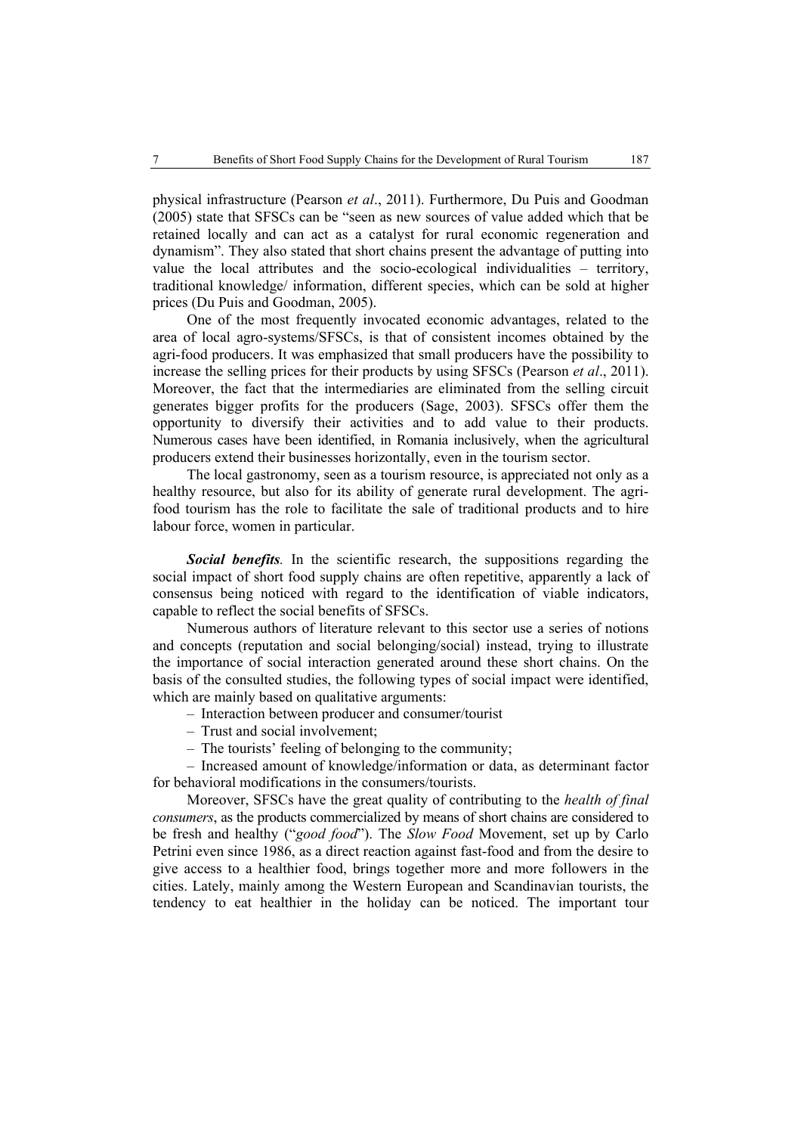physical infrastructure (Pearson *et al*., 2011). Furthermore, Du Puis and Goodman (2005) state that SFSCs can be "seen as new sources of value added which that be retained locally and can act as a catalyst for rural economic regeneration and dynamism". They also stated that short chains present the advantage of putting into value the local attributes and the socio-ecological individualities – territory, traditional knowledge/ information, different species, which can be sold at higher prices (Du Puis and Goodman, 2005).

One of the most frequently invocated economic advantages, related to the area of local agro-systems/SFSCs, is that of consistent incomes obtained by the agri-food producers. It was emphasized that small producers have the possibility to increase the selling prices for their products by using SFSCs (Pearson *et al*., 2011). Moreover, the fact that the intermediaries are eliminated from the selling circuit generates bigger profits for the producers (Sage, 2003). SFSCs offer them the opportunity to diversify their activities and to add value to their products. Numerous cases have been identified, in Romania inclusively, when the agricultural producers extend their businesses horizontally, even in the tourism sector.

The local gastronomy, seen as a tourism resource, is appreciated not only as a healthy resource, but also for its ability of generate rural development. The agrifood tourism has the role to facilitate the sale of traditional products and to hire labour force, women in particular.

*Social benefits.* In the scientific research, the suppositions regarding the social impact of short food supply chains are often repetitive, apparently a lack of consensus being noticed with regard to the identification of viable indicators, capable to reflect the social benefits of SFSCs.

Numerous authors of literature relevant to this sector use a series of notions and concepts (reputation and social belonging/social) instead, trying to illustrate the importance of social interaction generated around these short chains. On the basis of the consulted studies, the following types of social impact were identified, which are mainly based on qualitative arguments:

- Interaction between producer and consumer/tourist
- Trust and social involvement;
- The tourists' feeling of belonging to the community;

– Increased amount of knowledge/information or data, as determinant factor for behavioral modifications in the consumers/tourists.

Moreover, SFSCs have the great quality of contributing to the *health of final consumers*, as the products commercialized by means of short chains are considered to be fresh and healthy ("*good food*"). The *Slow Food* Movement, set up by Carlo Petrini even since 1986, as a direct reaction against fast-food and from the desire to give access to a healthier food, brings together more and more followers in the cities. Lately, mainly among the Western European and Scandinavian tourists, the tendency to eat healthier in the holiday can be noticed. The important tour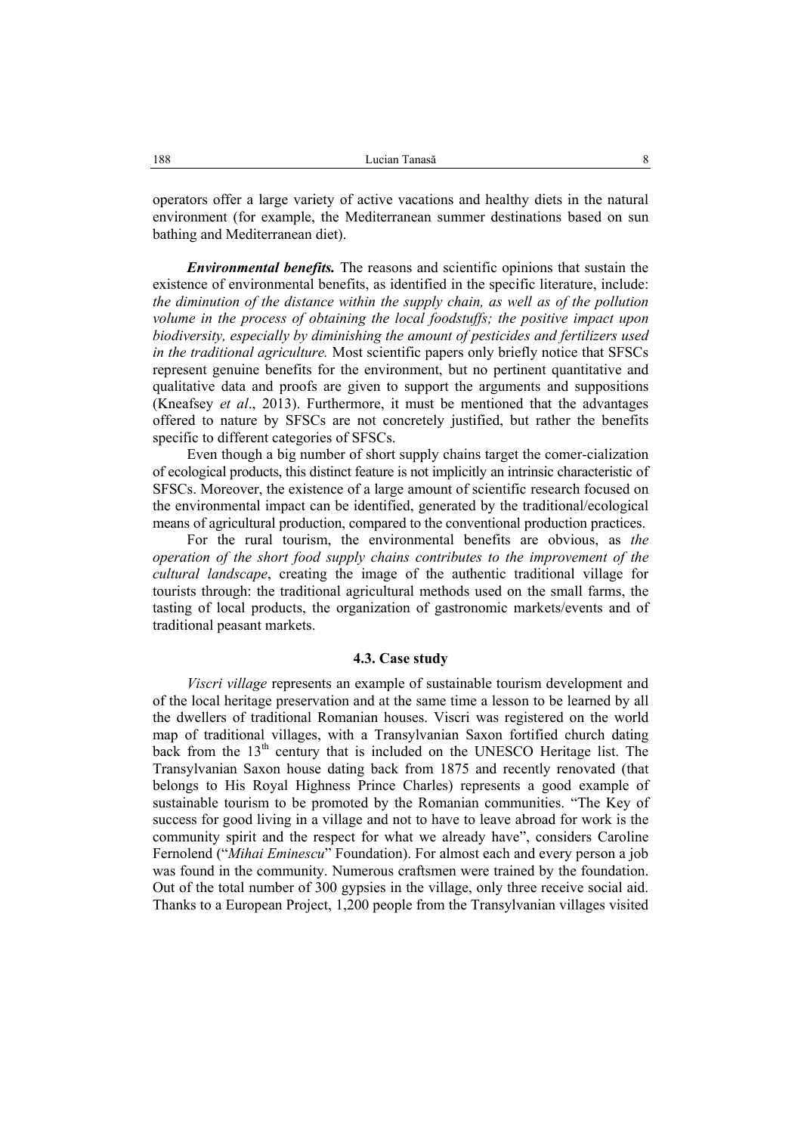operators offer a large variety of active vacations and healthy diets in the natural environment (for example, the Mediterranean summer destinations based on sun bathing and Mediterranean diet).

*Environmental benefits.* The reasons and scientific opinions that sustain the existence of environmental benefits, as identified in the specific literature, include: *the diminution of the distance within the supply chain, as well as of the pollution volume in the process of obtaining the local foodstuffs; the positive impact upon biodiversity, especially by diminishing the amount of pesticides and fertilizers used in the traditional agriculture.* Most scientific papers only briefly notice that SFSCs represent genuine benefits for the environment, but no pertinent quantitative and qualitative data and proofs are given to support the arguments and suppositions (Kneafsey *et al*., 2013). Furthermore, it must be mentioned that the advantages offered to nature by SFSCs are not concretely justified, but rather the benefits specific to different categories of SFSCs.

Even though a big number of short supply chains target the comer-cialization of ecological products, this distinct feature is not implicitly an intrinsic characteristic of SFSCs. Moreover, the existence of a large amount of scientific research focused on the environmental impact can be identified, generated by the traditional/ecological means of agricultural production, compared to the conventional production practices.

For the rural tourism, the environmental benefits are obvious, as *the operation of the short food supply chains contributes to the improvement of the cultural landscape*, creating the image of the authentic traditional village for tourists through: the traditional agricultural methods used on the small farms, the tasting of local products, the organization of gastronomic markets/events and of traditional peasant markets.

#### **4.3. Case study**

*Viscri village* represents an example of sustainable tourism development and of the local heritage preservation and at the same time a lesson to be learned by all the dwellers of traditional Romanian houses. Viscri was registered on the world map of traditional villages, with a Transylvanian Saxon fortified church dating back from the 13<sup>th</sup> century that is included on the UNESCO Heritage list. The Transylvanian Saxon house dating back from 1875 and recently renovated (that belongs to His Royal Highness Prince Charles) represents a good example of sustainable tourism to be promoted by the Romanian communities. "The Key of success for good living in a village and not to have to leave abroad for work is the community spirit and the respect for what we already have", considers Caroline Fernolend ("*Mihai Eminescu*" Foundation). For almost each and every person a job was found in the community. Numerous craftsmen were trained by the foundation. Out of the total number of 300 gypsies in the village, only three receive social aid. Thanks to a European Project, 1,200 people from the Transylvanian villages visited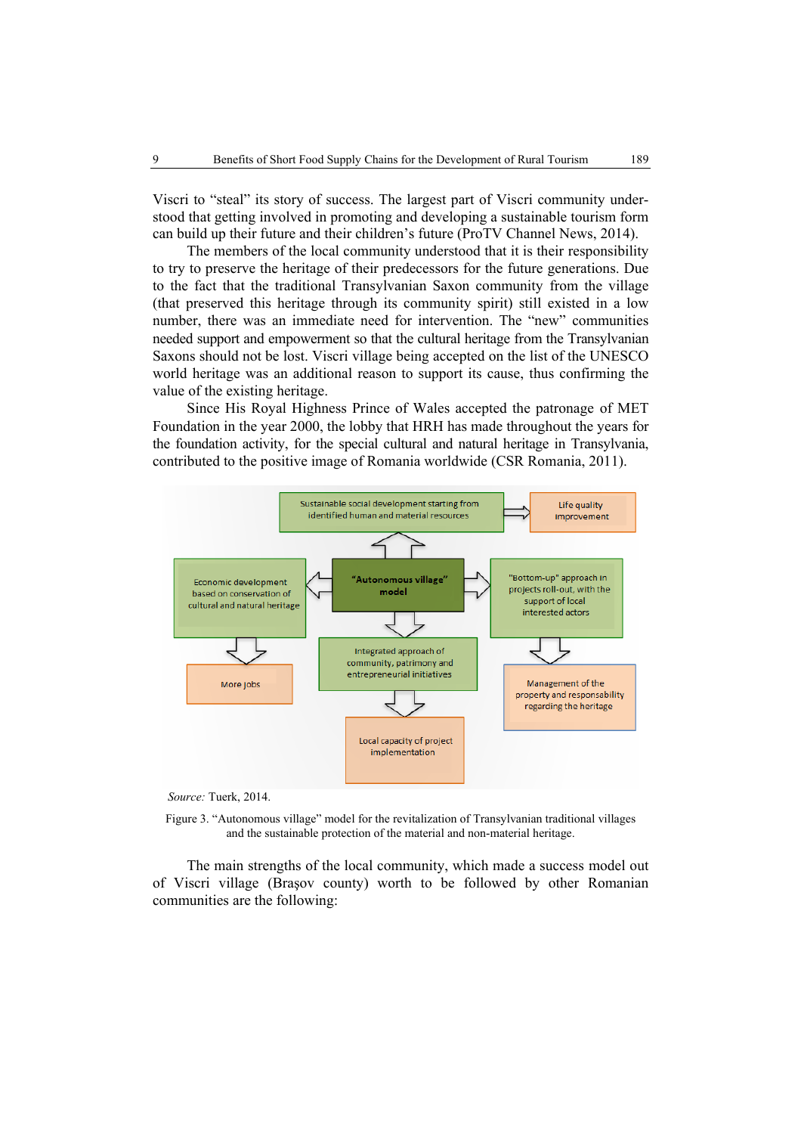Viscri to "steal" its story of success. The largest part of Viscri community understood that getting involved in promoting and developing a sustainable tourism form can build up their future and their children's future (ProTV Channel News, 2014).

The members of the local community understood that it is their responsibility to try to preserve the heritage of their predecessors for the future generations. Due to the fact that the traditional Transylvanian Saxon community from the village (that preserved this heritage through its community spirit) still existed in a low number, there was an immediate need for intervention. The "new" communities needed support and empowerment so that the cultural heritage from the Transylvanian Saxons should not be lost. Viscri village being accepted on the list of the UNESCO world heritage was an additional reason to support its cause, thus confirming the value of the existing heritage.

Since His Royal Highness Prince of Wales accepted the patronage of MET Foundation in the year 2000, the lobby that HRH has made throughout the years for the foundation activity, for the special cultural and natural heritage in Transylvania, contributed to the positive image of Romania worldwide (CSR Romania, 2011).



 *Source:* Tuerk, 2014.

Figure 3. "Autonomous village" model for the revitalization of Transylvanian traditional villages and the sustainable protection of the material and non-material heritage.

The main strengths of the local community, which made a success model out of Viscri village (Braşov county) worth to be followed by other Romanian communities are the following: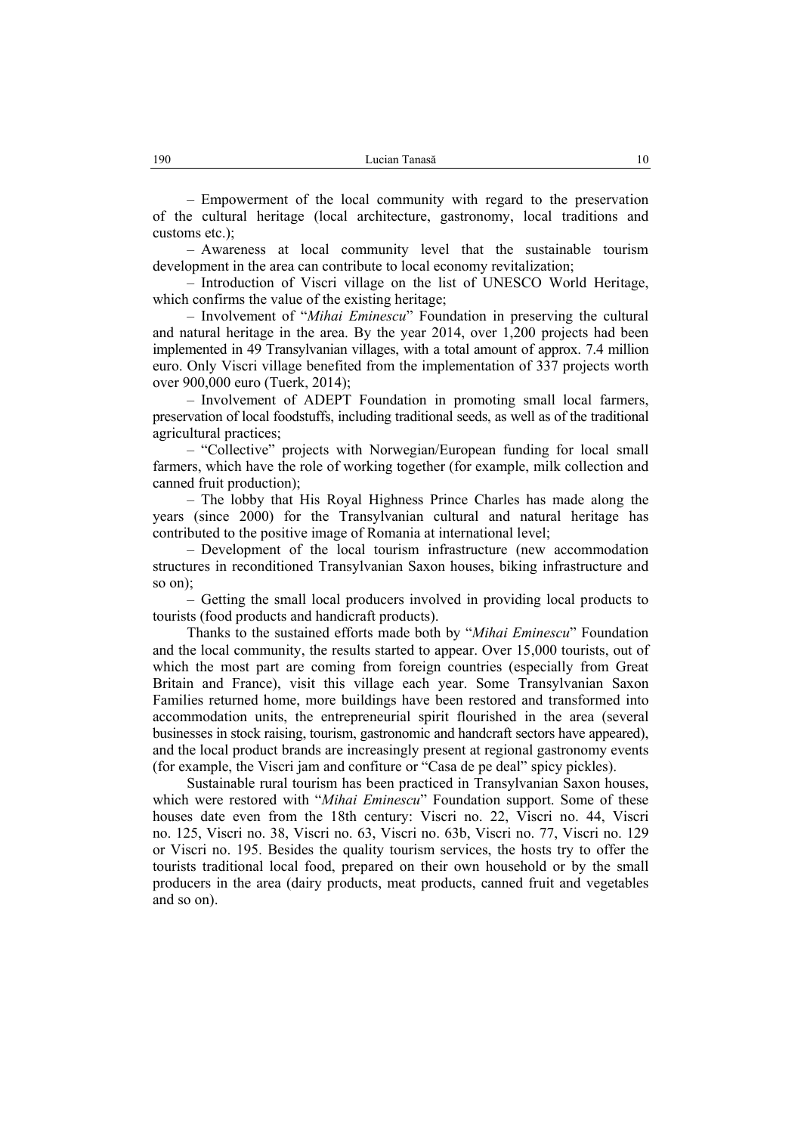– Empowerment of the local community with regard to the preservation of the cultural heritage (local architecture, gastronomy, local traditions and customs etc.);

– Awareness at local community level that the sustainable tourism development in the area can contribute to local economy revitalization;

– Introduction of Viscri village on the list of UNESCO World Heritage, which confirms the value of the existing heritage;

– Involvement of "*Mihai Eminescu*" Foundation in preserving the cultural and natural heritage in the area. By the year 2014, over 1,200 projects had been implemented in 49 Transylvanian villages, with a total amount of approx. 7.4 million euro. Only Viscri village benefited from the implementation of 337 projects worth over 900,000 euro (Tuerk, 2014);

– Involvement of ADEPT Foundation in promoting small local farmers, preservation of local foodstuffs, including traditional seeds, as well as of the traditional agricultural practices;

– "Collective" projects with Norwegian/European funding for local small farmers, which have the role of working together (for example, milk collection and canned fruit production);

– The lobby that His Royal Highness Prince Charles has made along the years (since 2000) for the Transylvanian cultural and natural heritage has contributed to the positive image of Romania at international level;

– Development of the local tourism infrastructure (new accommodation structures in reconditioned Transylvanian Saxon houses, biking infrastructure and so on);

– Getting the small local producers involved in providing local products to tourists (food products and handicraft products).

Thanks to the sustained efforts made both by "*Mihai Eminescu*" Foundation and the local community, the results started to appear. Over 15,000 tourists, out of which the most part are coming from foreign countries (especially from Great Britain and France), visit this village each year. Some Transylvanian Saxon Families returned home, more buildings have been restored and transformed into accommodation units, the entrepreneurial spirit flourished in the area (several businesses in stock raising, tourism, gastronomic and handcraft sectors have appeared), and the local product brands are increasingly present at regional gastronomy events (for example, the Viscri jam and confiture or "Casa de pe deal" spicy pickles).

Sustainable rural tourism has been practiced in Transylvanian Saxon houses, which were restored with "*Mihai Eminescu*" Foundation support. Some of these houses date even from the 18th century: Viscri no. 22, Viscri no. 44, Viscri no. 125, Viscri no. 38, Viscri no. 63, Viscri no. 63b, Viscri no. 77, Viscri no. 129 or Viscri no. 195. Besides the quality tourism services, the hosts try to offer the tourists traditional local food, prepared on their own household or by the small producers in the area (dairy products, meat products, canned fruit and vegetables and so on).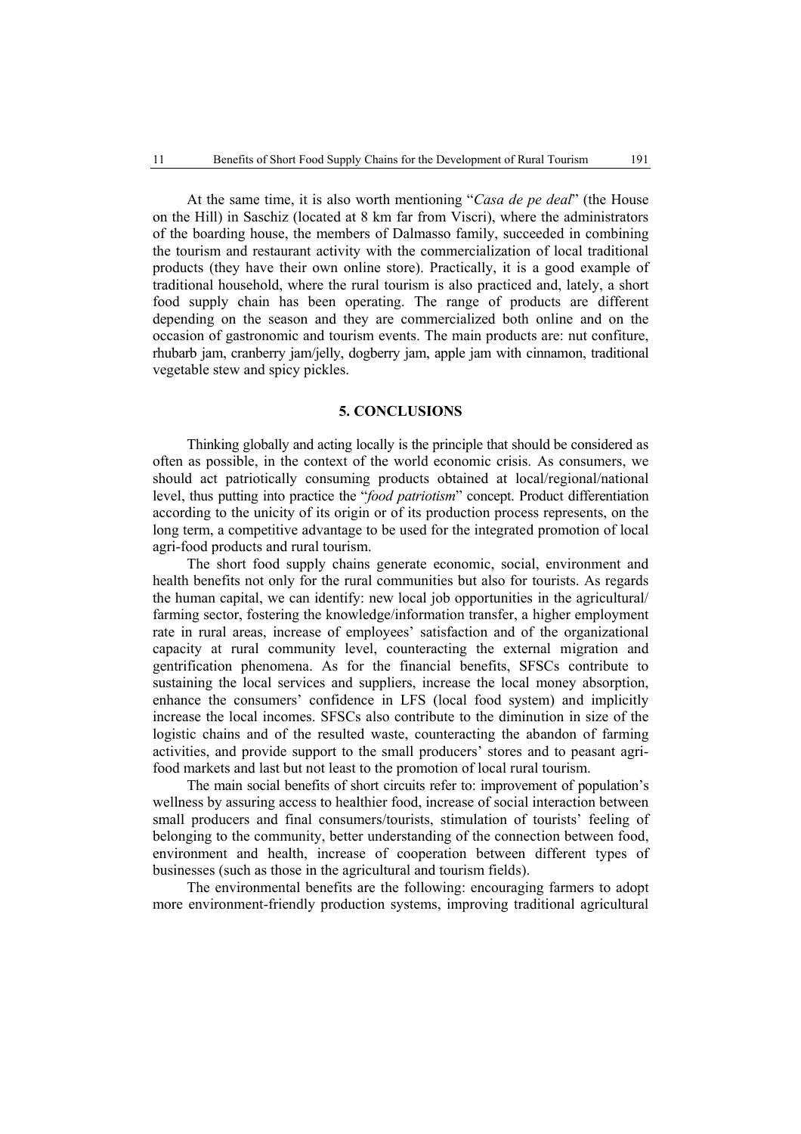At the same time, it is also worth mentioning "*Casa de pe deal*" (the House on the Hill) in Saschiz (located at 8 km far from Viscri), where the administrators of the boarding house, the members of Dalmasso family, succeeded in combining the tourism and restaurant activity with the commercialization of local traditional products (they have their own online store). Practically, it is a good example of traditional household, where the rural tourism is also practiced and, lately, a short food supply chain has been operating. The range of products are different depending on the season and they are commercialized both online and on the occasion of gastronomic and tourism events. The main products are: nut confiture, rhubarb jam, cranberry jam/jelly, dogberry jam, apple jam with cinnamon, traditional vegetable stew and spicy pickles.

## **5. CONCLUSIONS**

Thinking globally and acting locally is the principle that should be considered as often as possible, in the context of the world economic crisis. As consumers, we should act patriotically consuming products obtained at local/regional/national level, thus putting into practice the "*food patriotism*" concept. Product differentiation according to the unicity of its origin or of its production process represents, on the long term, a competitive advantage to be used for the integrated promotion of local agri-food products and rural tourism.

The short food supply chains generate economic, social, environment and health benefits not only for the rural communities but also for tourists. As regards the human capital, we can identify: new local job opportunities in the agricultural/ farming sector, fostering the knowledge/information transfer, a higher employment rate in rural areas, increase of employees' satisfaction and of the organizational capacity at rural community level, counteracting the external migration and gentrification phenomena. As for the financial benefits, SFSCs contribute to sustaining the local services and suppliers, increase the local money absorption, enhance the consumers' confidence in LFS (local food system) and implicitly increase the local incomes. SFSCs also contribute to the diminution in size of the logistic chains and of the resulted waste, counteracting the abandon of farming activities, and provide support to the small producers' stores and to peasant agrifood markets and last but not least to the promotion of local rural tourism.

The main social benefits of short circuits refer to: improvement of population's wellness by assuring access to healthier food, increase of social interaction between small producers and final consumers/tourists, stimulation of tourists' feeling of belonging to the community, better understanding of the connection between food, environment and health, increase of cooperation between different types of businesses (such as those in the agricultural and tourism fields).

The environmental benefits are the following: encouraging farmers to adopt more environment-friendly production systems, improving traditional agricultural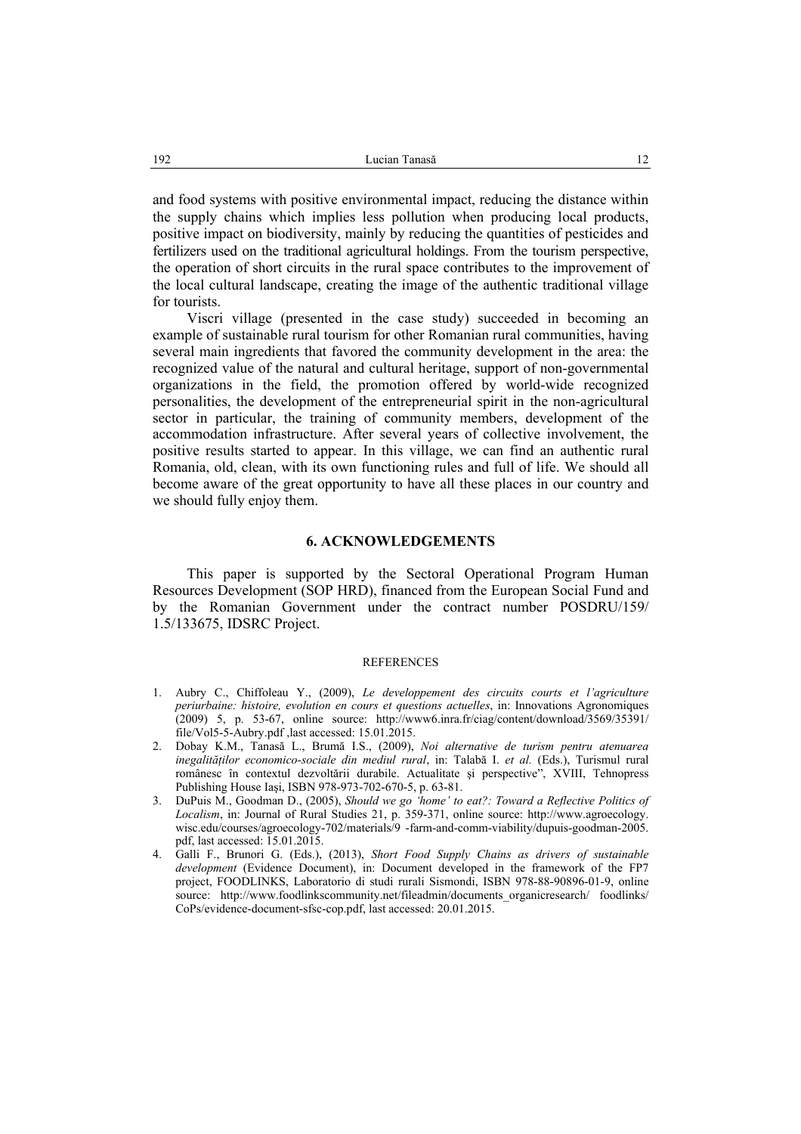and food systems with positive environmental impact, reducing the distance within the supply chains which implies less pollution when producing local products, positive impact on biodiversity, mainly by reducing the quantities of pesticides and fertilizers used on the traditional agricultural holdings. From the tourism perspective, the operation of short circuits in the rural space contributes to the improvement of the local cultural landscape, creating the image of the authentic traditional village for tourists.

Viscri village (presented in the case study) succeeded in becoming an example of sustainable rural tourism for other Romanian rural communities, having several main ingredients that favored the community development in the area: the recognized value of the natural and cultural heritage, support of non-governmental organizations in the field, the promotion offered by world-wide recognized personalities, the development of the entrepreneurial spirit in the non-agricultural sector in particular, the training of community members, development of the accommodation infrastructure. After several years of collective involvement, the positive results started to appear. In this village, we can find an authentic rural Romania, old, clean, with its own functioning rules and full of life. We should all become aware of the great opportunity to have all these places in our country and we should fully enjoy them.

## **6. ACKNOWLEDGEMENTS**

This paper is supported by the Sectoral Operational Program Human Resources Development (SOP HRD), financed from the European Social Fund and by the Romanian Government under the contract number POSDRU/159/ 1.5/133675, IDSRC Project.

#### **REFERENCES**

- 1. Aubry C., Chiffoleau Y., (2009), *Le developpement des circuits courts et l'agriculture periurbaine: histoire, evolution en cours et questions actuelles*, in: Innovations Agronomiques  $(2009)$  5, p. 53-67, online source: http://www6.inra.fr/ciag/content/download/3569/35391/ file/Vol5-5-Aubry.pdf ,last accessed: 15.01.2015.
- 2. Dobay K.M., Tanasă L., Brumă I.S., (2009), *Noi alternative de turism pentru atenuarea inegalităţilor economico-sociale din mediul rural*, in: Talabă I. *et al.* (Eds.), Turismul rural românesc în contextul dezvoltării durabile. Actualitate şi perspective", XVIII, Tehnopress Publishing House Iaşi, ISBN 978-973-702-670-5, p. 63-81.
- 3. DuPuis M., Goodman D., (2005), *Should we go 'home' to eat?: Toward a Reflective Politics of Localism*, in: Journal of Rural Studies 21, p. 359-371, online source: http://www.agroecology. wisc.edu/courses/agroecology-702/materials/9 -farm-and-comm-viability/dupuis-goodman-2005. pdf, last accessed: 15.01.2015.
- 4. Galli F., Brunori G. (Eds.), (2013), *Short Food Supply Chains as drivers of sustainable development* (Evidence Document), in: Document developed in the framework of the FP7 project, FOODLINKS, Laboratorio di studi rurali Sismondi, ISBN 978-88-90896-01-9, online source: http://www.foodlinkscommunity.net/fileadmin/documents\_organicresearch/ foodlinks/ CoPs/evidence-document-sfsc-cop.pdf, last accessed: 20.01.2015.